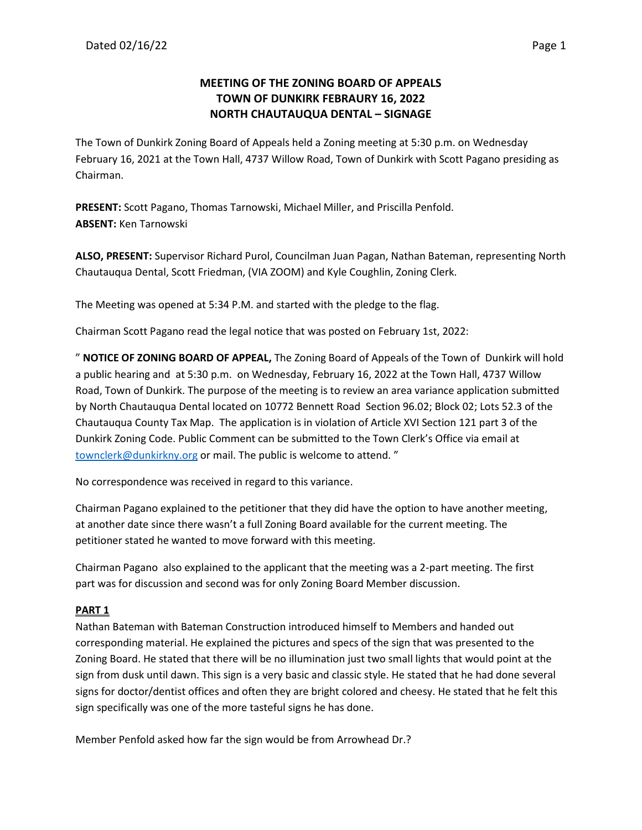# **MEETING OF THE ZONING BOARD OF APPEALS TOWN OF DUNKIRK FEBRAURY 16, 2022 NORTH CHAUTAUQUA DENTAL – SIGNAGE**

The Town of Dunkirk Zoning Board of Appeals held a Zoning meeting at 5:30 p.m. on Wednesday February 16, 2021 at the Town Hall, 4737 Willow Road, Town of Dunkirk with Scott Pagano presiding as Chairman.

**PRESENT:** Scott Pagano, Thomas Tarnowski, Michael Miller, and Priscilla Penfold. **ABSENT:** Ken Tarnowski

**ALSO, PRESENT:** Supervisor Richard Purol, Councilman Juan Pagan, Nathan Bateman, representing North Chautauqua Dental, Scott Friedman, (VIA ZOOM) and Kyle Coughlin, Zoning Clerk.

The Meeting was opened at 5:34 P.M. and started with the pledge to the flag.

Chairman Scott Pagano read the legal notice that was posted on February 1st, 2022:

" **NOTICE OF ZONING BOARD OF APPEAL,** The Zoning Board of Appeals of the Town of Dunkirk will hold a public hearing and at 5:30 p.m. on Wednesday, February 16, 2022 at the Town Hall, 4737 Willow Road, Town of Dunkirk. The purpose of the meeting is to review an area variance application submitted by North Chautauqua Dental located on 10772 Bennett Road Section 96.02; Block 02; Lots 52.3 of the Chautauqua County Tax Map. The application is in violation of Article XVI Section 121 part 3 of the Dunkirk Zoning Code. Public Comment can be submitted to the Town Clerk's Office via email at [townclerk@dunkirkny.org](mailto:townclerk@dunkirkny.org) or mail. The public is welcome to attend. "

No correspondence was received in regard to this variance.

Chairman Pagano explained to the petitioner that they did have the option to have another meeting, at another date since there wasn't a full Zoning Board available for the current meeting. The petitioner stated he wanted to move forward with this meeting.

Chairman Pagano also explained to the applicant that the meeting was a 2-part meeting. The first part was for discussion and second was for only Zoning Board Member discussion.

## **PART 1**

Nathan Bateman with Bateman Construction introduced himself to Members and handed out corresponding material. He explained the pictures and specs of the sign that was presented to the Zoning Board. He stated that there will be no illumination just two small lights that would point at the sign from dusk until dawn. This sign is a very basic and classic style. He stated that he had done several signs for doctor/dentist offices and often they are bright colored and cheesy. He stated that he felt this sign specifically was one of the more tasteful signs he has done.

Member Penfold asked how far the sign would be from Arrowhead Dr.?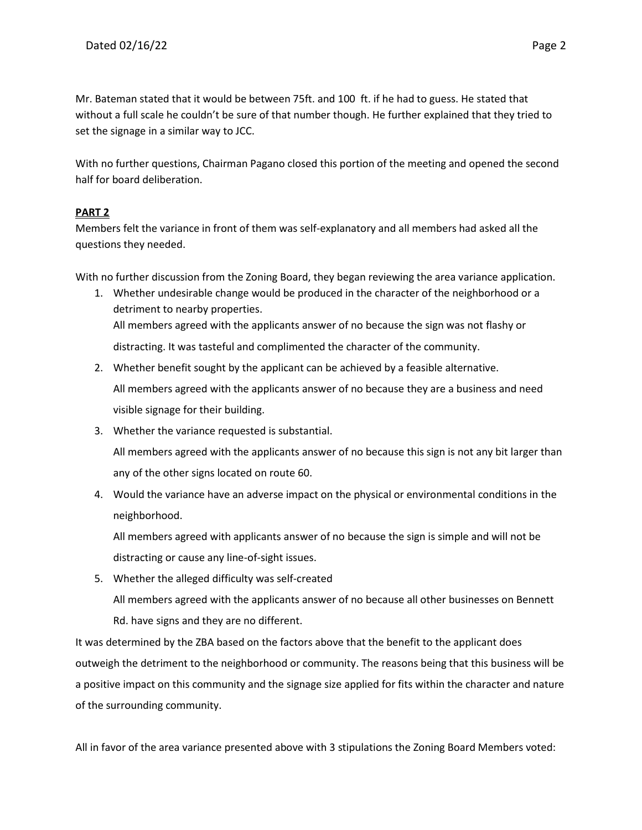Mr. Bateman stated that it would be between 75ft. and 100 ft. if he had to guess. He stated that without a full scale he couldn't be sure of that number though. He further explained that they tried to set the signage in a similar way to JCC.

With no further questions, Chairman Pagano closed this portion of the meeting and opened the second half for board deliberation.

## **PART 2**

Members felt the variance in front of them was self-explanatory and all members had asked all the questions they needed.

With no further discussion from the Zoning Board, they began reviewing the area variance application.

- 1. Whether undesirable change would be produced in the character of the neighborhood or a detriment to nearby properties. All members agreed with the applicants answer of no because the sign was not flashy or distracting. It was tasteful and complimented the character of the community.
- 2. Whether benefit sought by the applicant can be achieved by a feasible alternative. All members agreed with the applicants answer of no because they are a business and need visible signage for their building.
- 3. Whether the variance requested is substantial.

All members agreed with the applicants answer of no because this sign is not any bit larger than any of the other signs located on route 60.

4. Would the variance have an adverse impact on the physical or environmental conditions in the neighborhood.

All members agreed with applicants answer of no because the sign is simple and will not be distracting or cause any line-of-sight issues.

5. Whether the alleged difficulty was self-created All members agreed with the applicants answer of no because all other businesses on Bennett Rd. have signs and they are no different.

It was determined by the ZBA based on the factors above that the benefit to the applicant does outweigh the detriment to the neighborhood or community. The reasons being that this business will be a positive impact on this community and the signage size applied for fits within the character and nature of the surrounding community.

All in favor of the area variance presented above with 3 stipulations the Zoning Board Members voted: